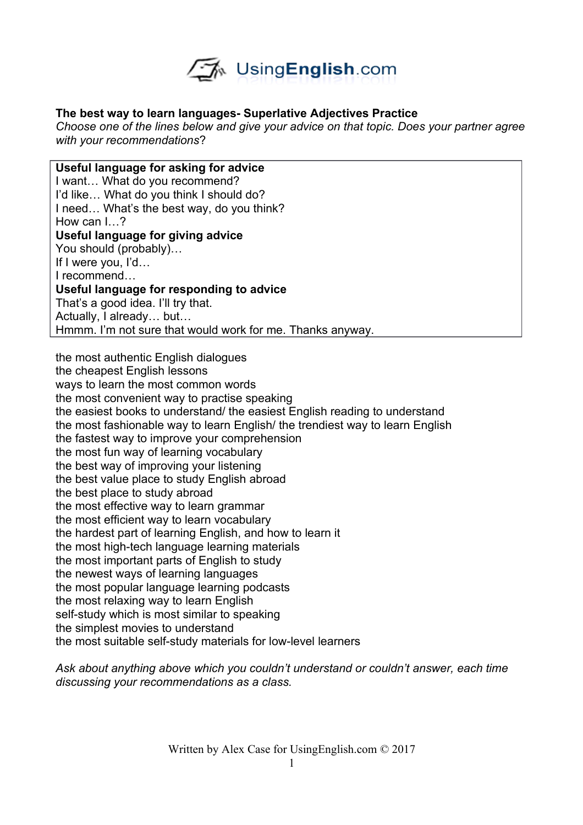

## **The best way to learn languages- Superlative Adjectives Practice**

*Choose one of the lines below and give your advice on that topic. Does your partner agree with your recommendations*?

**Useful language for asking for advice** I want… What do you recommend? I'd like… What do you think I should do? I need… What's the best way, do you think? How can I<sub>2</sub> **Useful language for giving advice** You should (probably)… If I were you, I'd… I recommend… **Useful language for responding to advice** That's a good idea. I'll try that. Actually, I already… but… Hmmm. I'm not sure that would work for me. Thanks anyway.

the most authentic English dialogues the cheapest English lessons ways to learn the most common words the most convenient way to practise speaking the easiest books to understand/ the easiest English reading to understand the most fashionable way to learn English/ the trendiest way to learn English the fastest way to improve your comprehension the most fun way of learning vocabulary the best way of improving your listening the best value place to study English abroad the best place to study abroad the most effective way to learn grammar the most efficient way to learn vocabulary the hardest part of learning English, and how to learn it the most high-tech language learning materials the most important parts of English to study the newest ways of learning languages the most popular language learning podcasts the most relaxing way to learn English self-study which is most similar to speaking the simplest movies to understand the most suitable self-study materials for low-level learners

*Ask about anything above which you couldn't understand or couldn't answer, each time discussing your recommendations as a class.*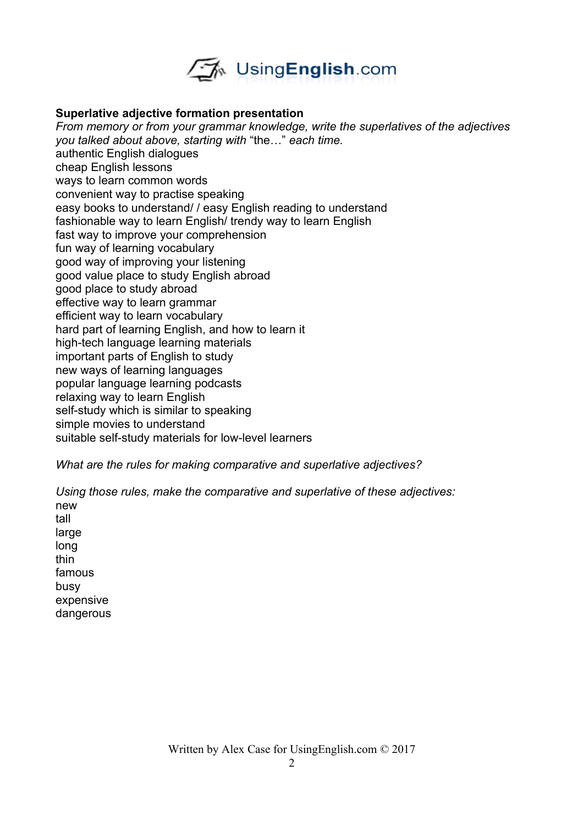

## **Superlative adjective formation presentation**

*From memory or from your grammar knowledge, write the superlatives of the adjectives you talked about above, starting with* "the…" *each time.*  authentic English dialogues cheap English lessons ways to learn common words convenient way to practise speaking easy books to understand/ / easy English reading to understand fashionable way to learn English/ trendy way to learn English fast way to improve your comprehension fun way of learning vocabulary good way of improving your listening good value place to study English abroad good place to study abroad effective way to learn grammar efficient way to learn vocabulary hard part of learning English, and how to learn it high-tech language learning materials important parts of English to study new ways of learning languages popular language learning podcasts relaxing way to learn English self-study which is similar to speaking simple movies to understand suitable self-study materials for low-level learners

*What are the rules for making comparative and superlative adjectives?* 

*Using those rules, make the comparative and superlative of these adjectives:* new tall large long thin famous busy expensive dangerous